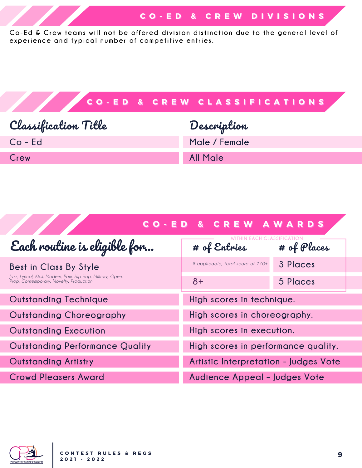Co-Ed & Crew teams will not be offered division distinction due to the general level of **experien ce and t ypi cal n umber of competiti ve en tries.**



| <b>CO-ED &amp; CREW AWARDS</b>                                                                                                  |                                       |             |
|---------------------------------------------------------------------------------------------------------------------------------|---------------------------------------|-------------|
| Each routine is eligible for                                                                                                    | # of Entries                          | # of Places |
| Best in Class By Style<br>Jazz, Lyrical, Kick, Modern, Pom, Hip Hop, Military, Open,<br>Prop, Contemporary, Novelty, Production | If applicable, total score of 270+    | 3 Places    |
|                                                                                                                                 | $8+$                                  | 5 Places    |
| <b>Outstanding Technique</b>                                                                                                    | High scores in technique.             |             |
| Outstanding Choreography                                                                                                        | High scores in choreography.          |             |
| <b>Outstanding Execution</b>                                                                                                    | High scores in execution.             |             |
| <b>Outstanding Performance Quality</b>                                                                                          | High scores in performance quality.   |             |
| <b>Outstanding Artistry</b>                                                                                                     | Artistic Interpretation - Judges Vote |             |
| <b>Crowd Pleasers Award</b>                                                                                                     | Audience Appeal - Judges Vote         |             |